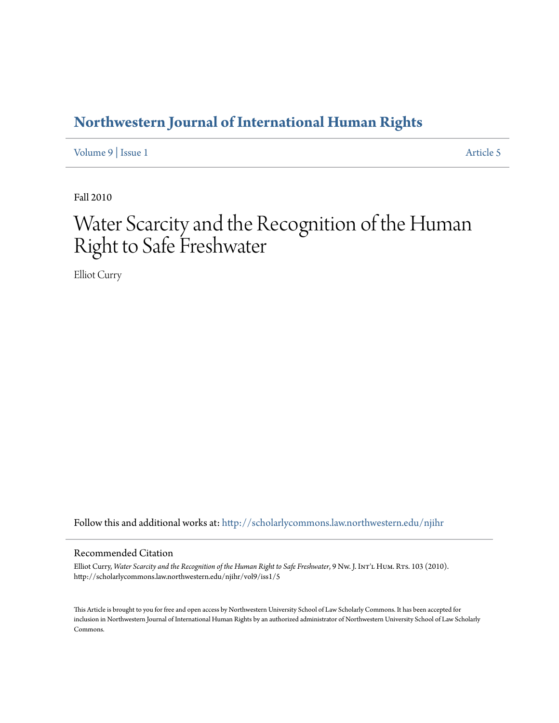## **[Northwestern Journal of International Human Rights](http://scholarlycommons.law.northwestern.edu/njihr?utm_source=scholarlycommons.law.northwestern.edu%2Fnjihr%2Fvol9%2Fiss1%2F5&utm_medium=PDF&utm_campaign=PDFCoverPages)**

[Volume 9](http://scholarlycommons.law.northwestern.edu/njihr/vol9?utm_source=scholarlycommons.law.northwestern.edu%2Fnjihr%2Fvol9%2Fiss1%2F5&utm_medium=PDF&utm_campaign=PDFCoverPages) | [Issue 1](http://scholarlycommons.law.northwestern.edu/njihr/vol9/iss1?utm_source=scholarlycommons.law.northwestern.edu%2Fnjihr%2Fvol9%2Fiss1%2F5&utm_medium=PDF&utm_campaign=PDFCoverPages) [Article 5](http://scholarlycommons.law.northwestern.edu/njihr/vol9/iss1/5?utm_source=scholarlycommons.law.northwestern.edu%2Fnjihr%2Fvol9%2Fiss1%2F5&utm_medium=PDF&utm_campaign=PDFCoverPages)

Fall 2010

# Water Scarcity and the Recognition of the Human Right to Safe Freshwater

Elliot Curry

Follow this and additional works at: [http://scholarlycommons.law.northwestern.edu/njihr](http://scholarlycommons.law.northwestern.edu/njihr?utm_source=scholarlycommons.law.northwestern.edu%2Fnjihr%2Fvol9%2Fiss1%2F5&utm_medium=PDF&utm_campaign=PDFCoverPages)

#### Recommended Citation

Elliot Curry, Water Scarcity and the Recognition of the Human Right to Safe Freshwater, 9 Nw. J. In $T$ L HUM. RTs. 103 (2010). http://scholarlycommons.law.northwestern.edu/njihr/vol9/iss1/5

This Article is brought to you for free and open access by Northwestern University School of Law Scholarly Commons. It has been accepted for inclusion in Northwestern Journal of International Human Rights by an authorized administrator of Northwestern University School of Law Scholarly Commons.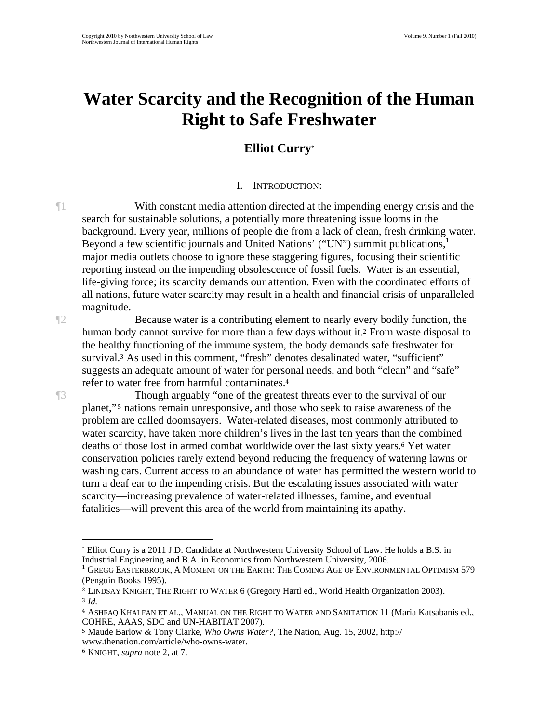## **Water Scarcity and the Recognition of the Human Right to Safe Freshwater**

## **Elliot Curry\***

## I. INTRODUCTION:

¶1 With constant media attention directed at the impending energy crisis and the search for sustainable solutions, a potentially more threatening issue looms in the background. Every year, millions of people die from a lack of clean, fresh drinking water. Beyond a few scientific journals and United Nations' ("UN") summit publications, major media outlets choose to ignore these staggering figures, focusing their scientific reporting instead on the impending obsolescence of fossil fuels. Water is an essential, life-giving force; its scarcity demands our attention. Even with the coordinated efforts of all nations, future water scarcity may result in a health and financial crisis of unparalleled magnitude.

¶2 Because water is a contributing element to nearly every bodily function, the human body cannot survive for more than a few days without it.2 From waste disposal to the healthy functioning of the immune system, the body demands safe freshwater for survival.3 As used in this comment, "fresh" denotes desalinated water, "sufficient" suggests an adequate amount of water for personal needs, and both "clean" and "safe" refer to water free from harmful contaminates.<sup>4</sup>

¶3 Though arguably "one of the greatest threats ever to the survival of our planet," 5 nations remain unresponsive, and those who seek to raise awareness of the problem are called doomsayers. Water-related diseases, most commonly attributed to water scarcity, have taken more children's lives in the last ten years than the combined deaths of those lost in armed combat worldwide over the last sixty years.6 Yet water conservation policies rarely extend beyond reducing the frequency of watering lawns or washing cars. Current access to an abundance of water has permitted the western world to turn a deaf ear to the impending crisis. But the escalating issues associated with water scarcity—increasing prevalence of water-related illnesses, famine, and eventual fatalities—will prevent this area of the world from maintaining its apathy.

<sup>\*</sup> Elliot Curry is a 2011 J.D. Candidate at Northwestern University School of Law. He holds a B.S. in Industrial Engineering and B.A. in Economics from Northwestern University, 2006. 1

 $^1$  Gregg Easterbrook, A Moment on the Earth: The Coming Age of Environmental Optimism 579 (Penguin Books 1995).

<sup>2</sup> LINDSAY KNIGHT, THE RIGHT TO WATER 6 (Gregory Hartl ed., World Health Organization 2003). <sup>3</sup> *Id.*

<sup>4</sup> ASHFAQ KHALFAN ET AL., MANUAL ON THE RIGHT TO WATER AND SANITATION 11 (Maria Katsabanis ed., COHRE, AAAS, SDC and UN-HABITAT 2007).

<sup>5</sup> Maude Barlow & Tony Clarke, *Who Owns Water?*, The Nation, Aug. 15, 2002, http:// www.thenation.com/article/who-owns-water.

<sup>6</sup> KNIGHT, *supra* note 2, at 7.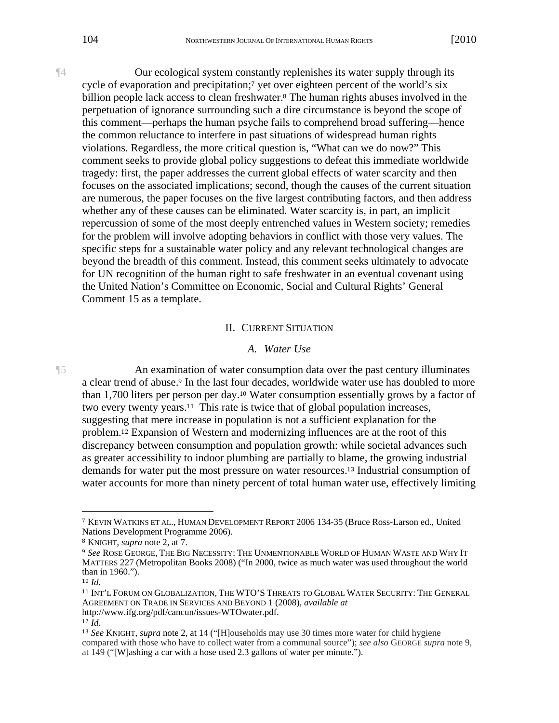¶4 Our ecological system constantly replenishes its water supply through its cycle of evaporation and precipitation;<sup>7</sup> yet over eighteen percent of the world's six billion people lack access to clean freshwater.<sup>8</sup> The human rights abuses involved in the perpetuation of ignorance surrounding such a dire circumstance is beyond the scope of this comment—perhaps the human psyche fails to comprehend broad suffering—hence the common reluctance to interfere in past situations of widespread human rights violations. Regardless, the more critical question is, "What can we do now?" This comment seeks to provide global policy suggestions to defeat this immediate worldwide tragedy: first, the paper addresses the current global effects of water scarcity and then focuses on the associated implications; second, though the causes of the current situation are numerous, the paper focuses on the five largest contributing factors, and then address whether any of these causes can be eliminated. Water scarcity is, in part, an implicit repercussion of some of the most deeply entrenched values in Western society; remedies for the problem will involve adopting behaviors in conflict with those very values. The specific steps for a sustainable water policy and any relevant technological changes are beyond the breadth of this comment. Instead, this comment seeks ultimately to advocate for UN recognition of the human right to safe freshwater in an eventual covenant using the United Nation's Committee on Economic, Social and Cultural Rights' General Comment 15 as a template.

#### II. CURRENT SITUATION

#### *A. Water Use*

¶5 An examination of water consumption data over the past century illuminates a clear trend of abuse.<sup>9</sup> In the last four decades, worldwide water use has doubled to more than 1,700 liters per person per day.10 Water consumption essentially grows by a factor of two every twenty years.11 This rate is twice that of global population increases, suggesting that mere increase in population is not a sufficient explanation for the problem.12 Expansion of Western and modernizing influences are at the root of this discrepancy between consumption and population growth: while societal advances such as greater accessibility to indoor plumbing are partially to blame, the growing industrial demands for water put the most pressure on water resources.13 Industrial consumption of water accounts for more than ninety percent of total human water use, effectively limiting

<sup>7</sup> KEVIN WATKINS ET AL., HUMAN DEVELOPMENT REPORT 2006 134-35 (Bruce Ross-Larson ed., United Nations Development Programme 2006).

<sup>8</sup> KNIGHT, *supra* note 2, at 7.

<sup>9</sup> *See* ROSE GEORGE, THE BIG NECESSITY: THE UNMENTIONABLE WORLD OF HUMAN WASTE AND WHY IT MATTERS 227 (Metropolitan Books 2008) ("In 2000, twice as much water was used throughout the world than in 1960.").

<sup>10</sup> *Id.* 

<sup>11</sup> INT'L FORUM ON GLOBALIZATION, THE WTO'S THREATS TO GLOBAL WATER SECURITY: THE GENERAL AGREEMENT ON TRADE IN SERVICES AND BEYOND 1 (2008), *available at* http://www.ifg.org/pdf/cancun/issues-WTOwater.pdf.

<sup>12</sup> *Id.*

<sup>13</sup> *See* KNIGHT, *supra* note 2, at 14 ("[H]ouseholds may use 30 times more water for child hygiene compared with those who have to collect water from a communal source"); *see also* GEORGE *supra* note 9, at 149 ("[W]ashing a car with a hose used 2.3 gallons of water per minute.").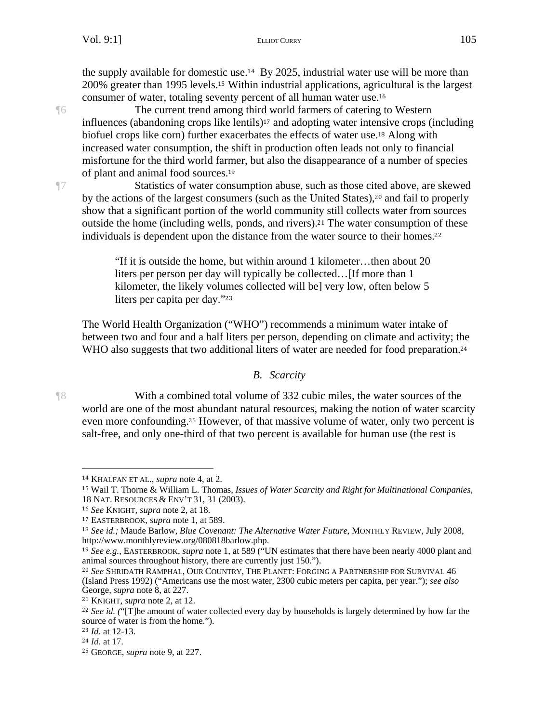the supply available for domestic use.14 By 2025, industrial water use will be more than 200% greater than 1995 levels.15 Within industrial applications, agricultural is the largest consumer of water, totaling seventy percent of all human water use.<sup>16</sup>

¶6 The current trend among third world farmers of catering to Western influences (abandoning crops like lentils)17 and adopting water intensive crops (including biofuel crops like corn) further exacerbates the effects of water use.18 Along with increased water consumption, the shift in production often leads not only to financial misfortune for the third world farmer, but also the disappearance of a number of species of plant and animal food sources.<sup>19</sup>

¶7 Statistics of water consumption abuse, such as those cited above, are skewed by the actions of the largest consumers (such as the United States),20 and fail to properly show that a significant portion of the world community still collects water from sources outside the home (including wells, ponds, and rivers).21 The water consumption of these individuals is dependent upon the distance from the water source to their homes.<sup>22</sup>

> "If it is outside the home, but within around 1 kilometer…then about 20 liters per person per day will typically be collected…[If more than 1 kilometer, the likely volumes collected will be] very low, often below 5 liters per capita per day."<sup>23</sup>

The World Health Organization ("WHO") recommends a minimum water intake of between two and four and a half liters per person, depending on climate and activity; the WHO also suggests that two additional liters of water are needed for food preparation.<sup>24</sup>

#### *B. Scarcity*

 $\overline{a}$ 

¶8 With a combined total volume of 332 cubic miles, the water sources of the world are one of the most abundant natural resources, making the notion of water scarcity even more confounding.25 However, of that massive volume of water, only two percent is salt-free, and only one-third of that two percent is available for human use (the rest is

<sup>14</sup> KHALFAN ET AL., *supra* note 4, at 2.

<sup>15</sup> Wail T. Thorne & William L. Thomas, *Issues of Water Scarcity and Right for Multinational Companies*, 18 NAT. RESOURCES & ENV'T 31, 31 (2003).

<sup>16</sup> *See* KNIGHT, *supra* note 2, at 18.

<sup>17</sup> EASTERBROOK, *supra* note 1, at 589.

<sup>18</sup> *See id.;* Maude Barlow, *Blue Covenant: The Alternative Water Future*, MONTHLY REVIEW, July 2008, http://www.monthlyreview.org/080818barlow.php.

<sup>19</sup> *See e.g.*, EASTERBROOK, *supra* note 1, at 589 ("UN estimates that there have been nearly 4000 plant and animal sources throughout history, there are currently just 150.").

<sup>20</sup> *See* SHRIDATH RAMPHAL, OUR COUNTRY, THE PLANET: FORGING A PARTNERSHIP FOR SURVIVAL 46 (Island Press 1992) ("Americans use the most water, 2300 cubic meters per capita, per year."); *see also*  George, *supra* note 8, at 227.

<sup>21</sup> KNIGHT, *supra* note 2, at 12.

<sup>&</sup>lt;sup>22</sup> See id. ("[T]he amount of water collected every day by households is largely determined by how far the source of water is from the home.").

<sup>23</sup> *Id.* at 12-13.

<sup>24</sup> *Id.* at 17.

<sup>25</sup> GEORGE, *supra* note 9, at 227.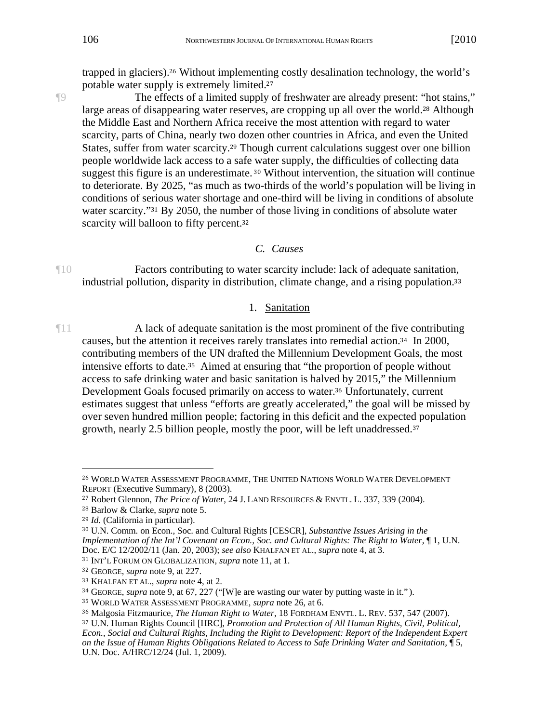trapped in glaciers).26 Without implementing costly desalination technology, the world's potable water supply is extremely limited.<sup>27</sup>

¶9 The effects of a limited supply of freshwater are already present: "hot stains," large areas of disappearing water reserves, are cropping up all over the world.28 Although the Middle East and Northern Africa receive the most attention with regard to water scarcity, parts of China, nearly two dozen other countries in Africa, and even the United States, suffer from water scarcity.29 Though current calculations suggest over one billion people worldwide lack access to a safe water supply, the difficulties of collecting data suggest this figure is an underestimate. 30 Without intervention, the situation will continue to deteriorate. By 2025, "as much as two-thirds of the world's population will be living in conditions of serious water shortage and one-third will be living in conditions of absolute water scarcity."<sup>31</sup> By 2050, the number of those living in conditions of absolute water scarcity will balloon to fifty percent.<sup>32</sup>

#### *C. Causes*

¶10 Factors contributing to water scarcity include: lack of adequate sanitation, industrial pollution, disparity in distribution, climate change, and a rising population.<sup>33</sup>

### 1. Sanitation

¶11 A lack of adequate sanitation is the most prominent of the five contributing causes, but the attention it receives rarely translates into remedial action.34 In 2000, contributing members of the UN drafted the Millennium Development Goals, the most intensive efforts to date.35 Aimed at ensuring that "the proportion of people without access to safe drinking water and basic sanitation is halved by 2015," the Millennium Development Goals focused primarily on access to water.36 Unfortunately, current estimates suggest that unless "efforts are greatly accelerated," the goal will be missed by over seven hundred million people; factoring in this deficit and the expected population growth, nearly 2.5 billion people, mostly the poor, will be left unaddressed.<sup>37</sup>

 $\overline{a}$ <sup>26</sup> WORLD WATER ASSESSMENT PROGRAMME, THE UNITED NATIONS WORLD WATER DEVELOPMENT REPORT (Executive Summary), 8 (2003).

<sup>27</sup> Robert Glennon, *The Price of Water*, 24 J. LAND RESOURCES & ENVTL. L. 337, 339 (2004).

<sup>28</sup> Barlow & Clarke, *supra* note 5.

<sup>29</sup> *Id.* (California in particular).

<sup>30</sup> U.N. Comm. on Econ., Soc. and Cultural Rights [CESCR], *Substantive Issues Arising in the Implementation of the Int'l Covenant on Econ., Soc. and Cultural Rights: The Right to Water,* 1, U.N. Doc. E/C 12/2002/11 (Jan. 20, 2003); *see also* KHALFAN ET AL., *supra* note 4, at 3.

<sup>31</sup> INT'L FORUM ON GLOBALIZATION, *supra* note 11, at 1.

<sup>32</sup> GEORGE, *supra* note 9, at 227.

<sup>33</sup> KHALFAN ET AL., *supra* note 4, at 2.

<sup>34</sup> GEORGE, *supra* note 9, at 67, 227 ("[W]e are wasting our water by putting waste in it." ).

<sup>35</sup> WORLD WATER ASSESSMENT PROGRAMME, *supra* note 26, at 6.

<sup>36</sup> Malgosia Fitzmaurice, *The Human Right to Water*, 18 FORDHAM ENVTL. L. REV. 537, 547 (2007).

<sup>37</sup> U.N. Human Rights Council [HRC], *Promotion and Protection of All Human Rights, Civil, Political, Econ., Social and Cultural Rights, Including the Right to Development: Report of the Independent Expert on the Issue of Human Rights Obligations Related to Access to Safe Drinking Water and Sanitation,* ¶ 5, U.N. Doc. A/HRC/12/24 (Jul. 1, 2009).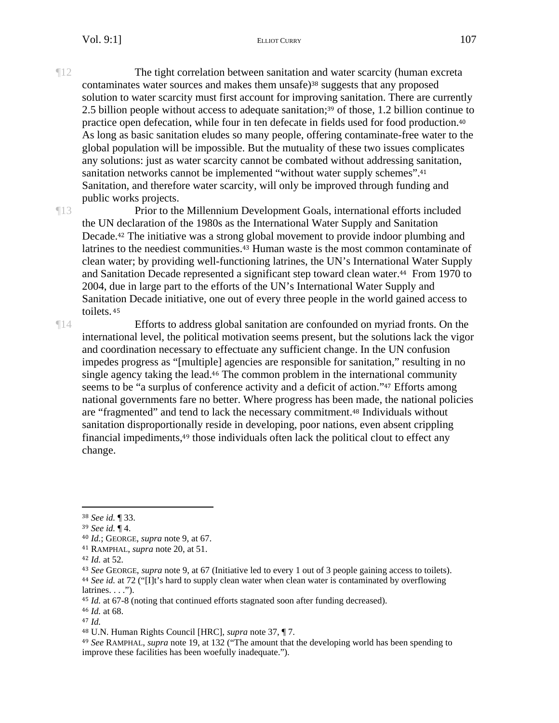¶12 The tight correlation between sanitation and water scarcity (human excreta contaminates water sources and makes them unsafe)38 suggests that any proposed solution to water scarcity must first account for improving sanitation. There are currently 2.5 billion people without access to adequate sanitation;39 of those, 1.2 billion continue to practice open defecation, while four in ten defecate in fields used for food production.<sup>40</sup> As long as basic sanitation eludes so many people, offering contaminate-free water to the global population will be impossible. But the mutuality of these two issues complicates any solutions: just as water scarcity cannot be combated without addressing sanitation, sanitation networks cannot be implemented "without water supply schemes".<sup>41</sup> Sanitation, and therefore water scarcity, will only be improved through funding and public works projects.

¶13 Prior to the Millennium Development Goals, international efforts included the UN declaration of the 1980s as the International Water Supply and Sanitation Decade.42 The initiative was a strong global movement to provide indoor plumbing and latrines to the neediest communities.43 Human waste is the most common contaminate of clean water; by providing well-functioning latrines, the UN's International Water Supply and Sanitation Decade represented a significant step toward clean water.44 From 1970 to 2004, due in large part to the efforts of the UN's International Water Supply and Sanitation Decade initiative, one out of every three people in the world gained access to toilets.<sup>45</sup>

¶14 Efforts to address global sanitation are confounded on myriad fronts. On the international level, the political motivation seems present, but the solutions lack the vigor and coordination necessary to effectuate any sufficient change. In the UN confusion impedes progress as "[multiple] agencies are responsible for sanitation," resulting in no single agency taking the lead.46 The common problem in the international community seems to be "a surplus of conference activity and a deficit of action."47 Efforts among national governments fare no better. Where progress has been made, the national policies are "fragmented" and tend to lack the necessary commitment.48 Individuals without sanitation disproportionally reside in developing, poor nations, even absent crippling financial impediments,49 those individuals often lack the political clout to effect any change.

1

<sup>38</sup> *See id.* ¶ 33.

<sup>39</sup> *See id.* ¶ 4.

<sup>40</sup> *Id.*; GEORGE, *supra* note 9, at 67.

<sup>41</sup> RAMPHAL, *supra* note 20, at 51.

<sup>42</sup> *Id.* at 52.

<sup>43</sup> *See* GEORGE, *supra* note 9, at 67 (Initiative led to every 1 out of 3 people gaining access to toilets). <sup>44</sup> *See id.* at 72 ("[I]t's hard to supply clean water when clean water is contaminated by overflowing  $l$ atrines.  $\ldots$ ").

<sup>45</sup> *Id.* at 67-8 (noting that continued efforts stagnated soon after funding decreased).

<sup>46</sup> *Id.* at 68.

<sup>47</sup> *Id.*

<sup>48</sup> U.N. Human Rights Council [HRC], *supra* note 37, ¶ 7.

<sup>49</sup> *See* RAMPHAL, *supra* note 19, at 132 ("The amount that the developing world has been spending to improve these facilities has been woefully inadequate.").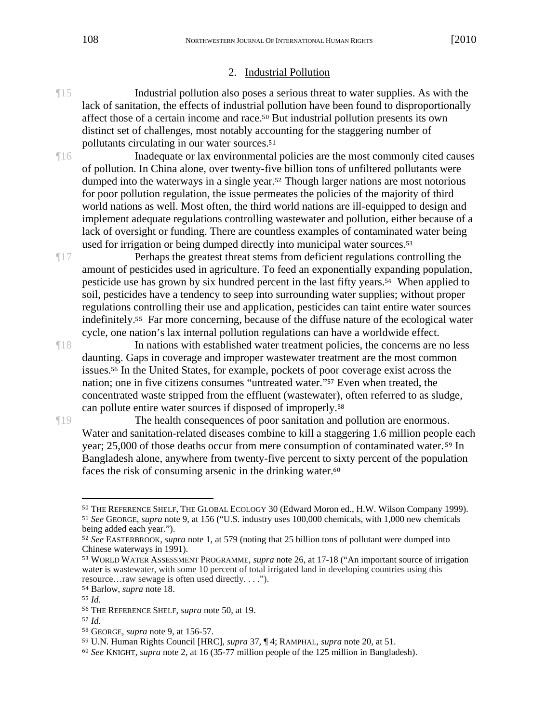#### 2. Industrial Pollution

- ¶15 Industrial pollution also poses a serious threat to water supplies. As with the lack of sanitation, the effects of industrial pollution have been found to disproportionally affect those of a certain income and race.50 But industrial pollution presents its own distinct set of challenges, most notably accounting for the staggering number of pollutants circulating in our water sources.<sup>51</sup>
- ¶16 Inadequate or lax environmental policies are the most commonly cited causes of pollution. In China alone, over twenty-five billion tons of unfiltered pollutants were dumped into the waterways in a single year.52 Though larger nations are most notorious for poor pollution regulation, the issue permeates the policies of the majority of third world nations as well. Most often, the third world nations are ill-equipped to design and implement adequate regulations controlling wastewater and pollution, either because of a lack of oversight or funding. There are countless examples of contaminated water being used for irrigation or being dumped directly into municipal water sources.<sup>53</sup>

¶17 Perhaps the greatest threat stems from deficient regulations controlling the amount of pesticides used in agriculture. To feed an exponentially expanding population, pesticide use has grown by six hundred percent in the last fifty years.54 When applied to soil, pesticides have a tendency to seep into surrounding water supplies; without proper regulations controlling their use and application, pesticides can taint entire water sources indefinitely.55 Far more concerning, because of the diffuse nature of the ecological water cycle, one nation's lax internal pollution regulations can have a worldwide effect.

¶18 In nations with established water treatment policies, the concerns are no less daunting. Gaps in coverage and improper wastewater treatment are the most common issues.56 In the United States, for example, pockets of poor coverage exist across the nation; one in five citizens consumes "untreated water."57 Even when treated, the concentrated waste stripped from the effluent (wastewater), often referred to as sludge, can pollute entire water sources if disposed of improperly.<sup>58</sup>

¶19 The health consequences of poor sanitation and pollution are enormous. Water and sanitation-related diseases combine to kill a staggering 1.6 million people each year; 25,000 of those deaths occur from mere consumption of contaminated water. 59 In Bangladesh alone, anywhere from twenty-five percent to sixty percent of the population faces the risk of consuming arsenic in the drinking water.<sup>60</sup>

 $\overline{a}$ <sup>50</sup> THE REFERENCE SHELF, THE GLOBAL ECOLOGY 30 (Edward Moron ed., H.W. Wilson Company 1999). <sup>51</sup> *See* GEORGE, *supra* note 9, at 156 ("U.S. industry uses 100,000 chemicals, with 1,000 new chemicals being added each year.").

<sup>52</sup> *See* EASTERBROOK, *supra* note 1, at 579 (noting that 25 billion tons of pollutant were dumped into Chinese waterways in 1991).

<sup>53</sup> WORLD WATER ASSESSMENT PROGRAMME, *supra* note 26, at 17-18 ("An important source of irrigation water is wastewater, with some 10 percent of total irrigated land in developing countries using this resource…raw sewage is often used directly. . . .").

<sup>54</sup> Barlow, *supra* note 18.

<sup>55</sup> *Id*.

<sup>56</sup> THE REFERENCE SHELF, *supra* note 50, at 19.

<sup>57</sup> *Id.*

<sup>58</sup> GEORGE, *supra* note 9, at 156-57.

<sup>59</sup> U.N. Human Rights Council [HRC], *supra* 37, ¶ 4; RAMPHAL, *supra* note 20, at 51.

<sup>60</sup> *See* KNIGHT, *supra* note 2, at 16 (35-77 million people of the 125 million in Bangladesh).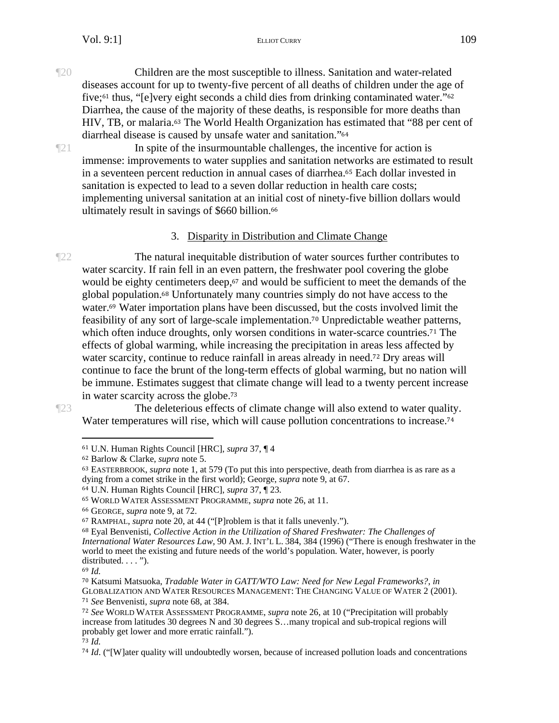¶20 Children are the most susceptible to illness. Sanitation and water-related diseases account for up to twenty-five percent of all deaths of children under the age of five;61 thus, "[e]very eight seconds a child dies from drinking contaminated water."<sup>62</sup> Diarrhea, the cause of the majority of these deaths, is responsible for more deaths than HIV, TB, or malaria.63 The World Health Organization has estimated that "88 per cent of diarrheal disease is caused by unsafe water and sanitation."<sup>64</sup>

 $\mathbb{Z}^2$  In spite of the insurmountable challenges, the incentive for action is immense: improvements to water supplies and sanitation networks are estimated to result in a seventeen percent reduction in annual cases of diarrhea.65 Each dollar invested in sanitation is expected to lead to a seven dollar reduction in health care costs; implementing universal sanitation at an initial cost of ninety-five billion dollars would ultimately result in savings of \$660 billion.<sup>66</sup>

## 3. Disparity in Distribution and Climate Change

¶22 The natural inequitable distribution of water sources further contributes to water scarcity. If rain fell in an even pattern, the freshwater pool covering the globe would be eighty centimeters deep,<sup>67</sup> and would be sufficient to meet the demands of the global population.68 Unfortunately many countries simply do not have access to the water.69 Water importation plans have been discussed, but the costs involved limit the feasibility of any sort of large-scale implementation.70 Unpredictable weather patterns, which often induce droughts, only worsen conditions in water-scarce countries.<sup>71</sup> The effects of global warming, while increasing the precipitation in areas less affected by water scarcity, continue to reduce rainfall in areas already in need.<sup>72</sup> Dry areas will continue to face the brunt of the long-term effects of global warming, but no nation will be immune. Estimates suggest that climate change will lead to a twenty percent increase in water scarcity across the globe.<sup>73</sup>

 $\overline{a}$ 

¶23 The deleterious effects of climate change will also extend to water quality. Water temperatures will rise, which will cause pollution concentrations to increase.<sup>74</sup>

<sup>61</sup> U.N. Human Rights Council [HRC], *supra* 37, ¶ 4

<sup>62</sup> Barlow & Clarke, *supra* note 5.

<sup>63</sup> EASTERBROOK, *supra* note 1, at 579 (To put this into perspective, death from diarrhea is as rare as a dying from a comet strike in the first world); George, *supra* note 9, at 67.

<sup>64</sup> U.N. Human Rights Council [HRC], *supra* 37, ¶ 23.

<sup>65</sup> WORLD WATER ASSESSMENT PROGRAMME, *supra* note 26, at 11.

<sup>66</sup> GEORGE, *supra* note 9, at 72.

<sup>67</sup> RAMPHAL, *supra* note 20, at 44 ("[P]roblem is that it falls unevenly.").

<sup>68</sup> Eyal Benvenisti, *Collective Action in the Utilization of Shared Freshwater: The Challenges of International Water Resources Law,* 90 AM. J. INT'L L. 384, 384 (1996) ("There is enough freshwater in the world to meet the existing and future needs of the world's population. Water, however, is poorly distributed. . . . ").

<sup>69</sup> *Id.*

<sup>70</sup> Katsumi Matsuoka, *Tradable Water in GATT/WTO Law: Need for New Legal Frameworks?*, *in* GLOBALIZATION AND WATER RESOURCES MANAGEMENT: THE CHANGING VALUE OF WATER 2 (2001). <sup>71</sup> *See* Benvenisti, *supra* note 68, at 384.

<sup>72</sup> *See* WORLD WATER ASSESSMENT PROGRAMME, *supra* note 26, at 10 ("Precipitation will probably increase from latitudes 30 degrees N and 30 degrees S…many tropical and sub-tropical regions will probably get lower and more erratic rainfall.").

<sup>73</sup> *Id.* 

<sup>74</sup> *Id*. ("[W]ater quality will undoubtedly worsen, because of increased pollution loads and concentrations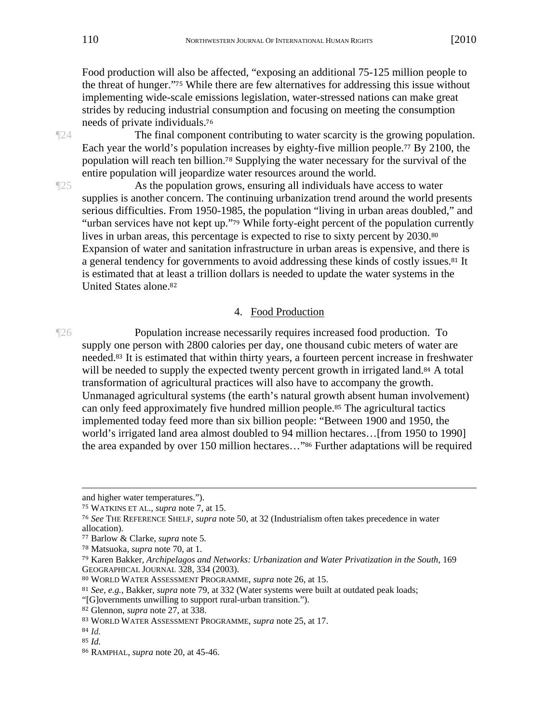Food production will also be affected, "exposing an additional 75-125 million people to the threat of hunger."75 While there are few alternatives for addressing this issue without implementing wide-scale emissions legislation, water-stressed nations can make great strides by reducing industrial consumption and focusing on meeting the consumption needs of private individuals.<sup>76</sup>

¶24 The final component contributing to water scarcity is the growing population. Each year the world's population increases by eighty-five million people.77 By 2100, the population will reach ten billion.78 Supplying the water necessary for the survival of the entire population will jeopardize water resources around the world.

¶25 As the population grows, ensuring all individuals have access to water supplies is another concern. The continuing urbanization trend around the world presents serious difficulties. From 1950-1985, the population "living in urban areas doubled," and "urban services have not kept up."79 While forty-eight percent of the population currently lives in urban areas, this percentage is expected to rise to sixty percent by 2030.<sup>80</sup> Expansion of water and sanitation infrastructure in urban areas is expensive, and there is a general tendency for governments to avoid addressing these kinds of costly issues.81 It is estimated that at least a trillion dollars is needed to update the water systems in the United States alone.<sup>82</sup>

#### 4. Food Production

¶26 Population increase necessarily requires increased food production. To supply one person with 2800 calories per day, one thousand cubic meters of water are needed.83 It is estimated that within thirty years, a fourteen percent increase in freshwater will be needed to supply the expected twenty percent growth in irrigated land.<sup>84</sup> A total transformation of agricultural practices will also have to accompany the growth. Unmanaged agricultural systems (the earth's natural growth absent human involvement) can only feed approximately five hundred million people.85 The agricultural tactics implemented today feed more than six billion people: "Between 1900 and 1950, the world's irrigated land area almost doubled to 94 million hectares…[from 1950 to 1990] the area expanded by over 150 million hectares…"86 Further adaptations will be required

and higher water temperatures.").

<sup>75</sup> WATKINS ET AL., *supra* note 7, at 15.

<sup>76</sup> *See* THE REFERENCE SHELF, *supra* note 50, at 32 (Industrialism often takes precedence in water allocation).

<sup>77</sup> Barlow & Clarke, *supra* note 5*.*

<sup>78</sup> Matsuoka, *supra* note 70, at 1.

<sup>79</sup> Karen Bakker, *Archipelagos and Networks: Urbanization and Water Privatization in the South*, 169 GEOGRAPHICAL JOURNAL 328, 334 (2003).

<sup>80</sup> WORLD WATER ASSESSMENT PROGRAMME, *supra* note 26, at 15.

<sup>81</sup> *See, e.g.,* Bakker, *supra* note 79, at 332 (Water systems were built at outdated peak loads;

<sup>&</sup>quot;[G]overnments unwilling to support rural-urban transition.").

<sup>82</sup> Glennon, *supra* note 27, at 338.

<sup>83</sup> WORLD WATER ASSESSMENT PROGRAMME, *supra* note 25, at 17.

<sup>84</sup> *Id.* 

<sup>85</sup> *Id.*

<sup>86</sup> RAMPHAL, *supra* note 20, at 45-46.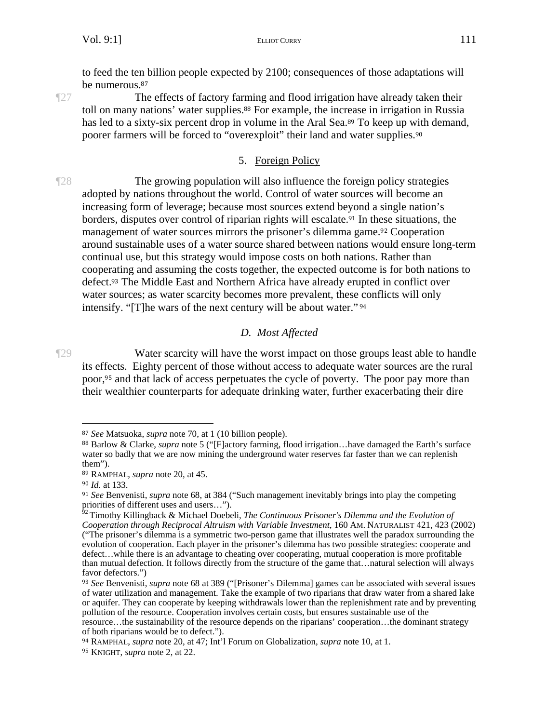to feed the ten billion people expected by 2100; consequences of those adaptations will be numerous.<sup>87</sup>

¶27 The effects of factory farming and flood irrigation have already taken their toll on many nations' water supplies.88 For example, the increase in irrigation in Russia has led to a sixty-six percent drop in volume in the Aral Sea.<sup>89</sup> To keep up with demand, poorer farmers will be forced to "overexploit" their land and water supplies.<sup>90</sup>

### 5. Foreign Policy

¶28 The growing population will also influence the foreign policy strategies adopted by nations throughout the world. Control of water sources will become an increasing form of leverage; because most sources extend beyond a single nation's borders, disputes over control of riparian rights will escalate.91 In these situations, the management of water sources mirrors the prisoner's dilemma game.92 Cooperation around sustainable uses of a water source shared between nations would ensure long-term continual use, but this strategy would impose costs on both nations. Rather than cooperating and assuming the costs together, the expected outcome is for both nations to defect.93 The Middle East and Northern Africa have already erupted in conflict over water sources; as water scarcity becomes more prevalent, these conflicts will only intensify. "[T]he wars of the next century will be about water."<sup>94</sup>

## *D. Most Affected*

¶29 Water scarcity will have the worst impact on those groups least able to handle its effects. Eighty percent of those without access to adequate water sources are the rural poor,95 and that lack of access perpetuates the cycle of poverty. The poor pay more than their wealthier counterparts for adequate drinking water, further exacerbating their dire

<sup>87</sup> *See* Matsuoka, *supra* note 70, at 1 (10 billion people).

<sup>88</sup> Barlow & Clarke, *supra* note 5 ("[F]actory farming, flood irrigation…have damaged the Earth's surface water so badly that we are now mining the underground water reserves far faster than we can replenish them").

<sup>89</sup> RAMPHAL, *supra* note 20, at 45.

<sup>90</sup> *Id.* at 133.

<sup>91</sup> *See* Benvenisti, *supra* note 68, at 384 ("Such management inevitably brings into play the competing priorities of different uses and users…").

<sup>92</sup> Timothy Killingback & Michael Doebeli, *The Continuous Prisoner's Dilemma and the Evolution of Cooperation through Reciprocal Altruism with Variable Investment*, 160 AM. NATURALIST 421, 423 (2002) ("The prisoner's dilemma is a symmetric two-person game that illustrates well the paradox surrounding the evolution of cooperation. Each player in the prisoner's dilemma has two possible strategies: cooperate and defect…while there is an advantage to cheating over cooperating, mutual cooperation is more profitable than mutual defection. It follows directly from the structure of the game that…natural selection will always favor defectors.")

<sup>93</sup> *See* Benvenisti, *supra* note 68 at 389 ("[Prisoner's Dilemma] games can be associated with several issues of water utilization and management. Take the example of two riparians that draw water from a shared lake or aquifer. They can cooperate by keeping withdrawals lower than the replenishment rate and by preventing pollution of the resource. Cooperation involves certain costs, but ensures sustainable use of the

resource…the sustainability of the resource depends on the riparians' cooperation…the dominant strategy of both riparians would be to defect.").

<sup>94</sup> RAMPHAL, *supra* note 20, at 47; Int'l Forum on Globalization, *supra* note 10, at 1.

<sup>95</sup> KNIGHT, *supra* note 2, at 22.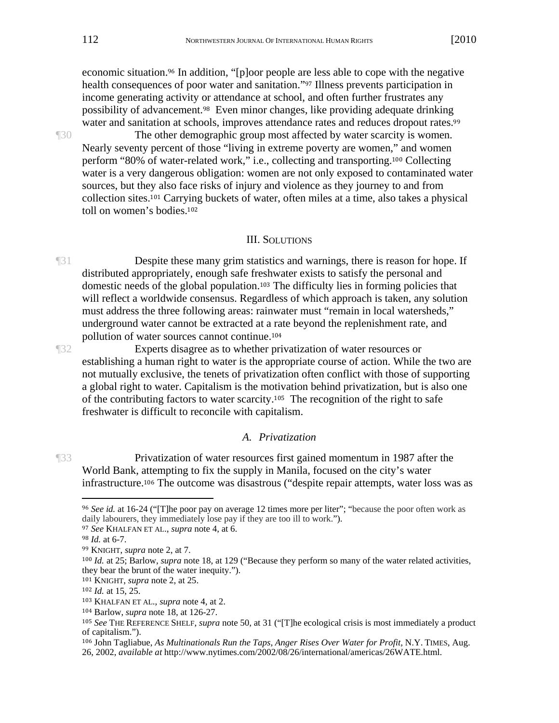economic situation.<sup>96</sup> In addition, "[p]oor people are less able to cope with the negative health consequences of poor water and sanitation."97 Illness prevents participation in income generating activity or attendance at school, and often further frustrates any possibility of advancement.98 Even minor changes, like providing adequate drinking water and sanitation at schools, improves attendance rates and reduces dropout rates.<sup>99</sup>

¶30 The other demographic group most affected by water scarcity is women. Nearly seventy percent of those "living in extreme poverty are women," and women perform "80% of water-related work," i.e., collecting and transporting.100 Collecting water is a very dangerous obligation: women are not only exposed to contaminated water sources, but they also face risks of injury and violence as they journey to and from collection sites.101 Carrying buckets of water, often miles at a time, also takes a physical toll on women's bodies.<sup>102</sup>

#### III. SOLUTIONS

¶31 Despite these many grim statistics and warnings, there is reason for hope. If distributed appropriately, enough safe freshwater exists to satisfy the personal and domestic needs of the global population.103 The difficulty lies in forming policies that will reflect a worldwide consensus. Regardless of which approach is taken, any solution must address the three following areas: rainwater must "remain in local watersheds," underground water cannot be extracted at a rate beyond the replenishment rate, and pollution of water sources cannot continue.<sup>104</sup>

¶32 Experts disagree as to whether privatization of water resources or establishing a human right to water is the appropriate course of action. While the two are not mutually exclusive, the tenets of privatization often conflict with those of supporting a global right to water. Capitalism is the motivation behind privatization, but is also one of the contributing factors to water scarcity.105 The recognition of the right to safe freshwater is difficult to reconcile with capitalism.

#### *A. Privatization*

¶33 Privatization of water resources first gained momentum in 1987 after the World Bank, attempting to fix the supply in Manila, focused on the city's water infrastructure.106 The outcome was disastrous ("despite repair attempts, water loss was as

<sup>96</sup> *See id.* at 16-24 ("[T]he poor pay on average 12 times more per liter"; "because the poor often work as daily labourers, they immediately lose pay if they are too ill to work.").

<sup>97</sup> *See* KHALFAN ET AL., *supra* note 4, at 6.

<sup>98</sup> *Id.* at 6-7.

<sup>99</sup> KNIGHT, *supra* note 2, at 7.

<sup>100</sup> *Id.* at 25; Barlow, *supra* note 18, at 129 ("Because they perform so many of the water related activities, they bear the brunt of the water inequity.").

<sup>101</sup> KNIGHT, *supra* note 2, at 25.

<sup>102</sup> *Id.* at 15, 25.

<sup>103</sup> KHALFAN ET AL., *supra* note 4, at 2.

<sup>104</sup> Barlow, *supra* note 18, at 126-27.

<sup>105</sup> *See* THE REFERENCE SHELF, *supra* note 50, at 31 ("[T]he ecological crisis is most immediately a product of capitalism.").

<sup>106</sup> John Tagliabue, *As Multinationals Run the Taps, Anger Rises Over Water for Profit,* N.Y. TIMES, Aug.

<sup>26, 2002,</sup> *available at* http://www.nytimes.com/2002/08/26/international/americas/26WATE.html.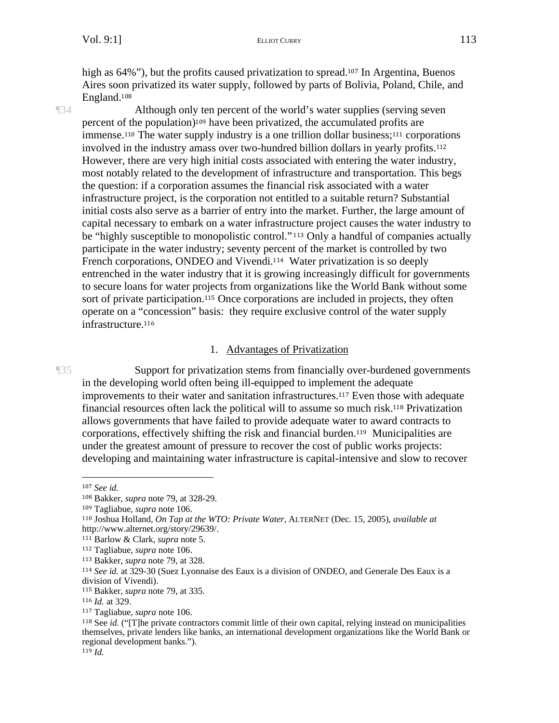high as 64%"), but the profits caused privatization to spread.<sup>107</sup> In Argentina, Buenos Aires soon privatized its water supply, followed by parts of Bolivia, Poland, Chile, and England.<sup>108</sup>

¶34 Although only ten percent of the world's water supplies (serving seven percent of the population)109 have been privatized, the accumulated profits are immense.110 The water supply industry is a one trillion dollar business;111 corporations involved in the industry amass over two-hundred billion dollars in yearly profits.<sup>112</sup> However, there are very high initial costs associated with entering the water industry, most notably related to the development of infrastructure and transportation. This begs the question: if a corporation assumes the financial risk associated with a water infrastructure project, is the corporation not entitled to a suitable return? Substantial initial costs also serve as a barrier of entry into the market. Further, the large amount of capital necessary to embark on a water infrastructure project causes the water industry to be "highly susceptible to monopolistic control."<sup>113</sup> Only a handful of companies actually participate in the water industry; seventy percent of the market is controlled by two French corporations, ONDEO and Vivendi.<sup>114</sup> Water privatization is so deeply entrenched in the water industry that it is growing increasingly difficult for governments to secure loans for water projects from organizations like the World Bank without some sort of private participation.115 Once corporations are included in projects, they often operate on a "concession" basis: they require exclusive control of the water supply infrastructure.<sup>116</sup>

#### 1. Advantages of Privatization

¶35 Support for privatization stems from financially over-burdened governments in the developing world often being ill-equipped to implement the adequate improvements to their water and sanitation infrastructures.117 Even those with adequate financial resources often lack the political will to assume so much risk.118 Privatization allows governments that have failed to provide adequate water to award contracts to corporations, effectively shifting the risk and financial burden.119 Municipalities are under the greatest amount of pressure to recover the cost of public works projects: developing and maintaining water infrastructure is capital-intensive and slow to recover

<sup>107</sup> *See id.* 

<sup>108</sup> Bakker, *supra* note 79, at 328-29.

<sup>109</sup> Tagliabue, *supra* note 106.

<sup>110</sup> Joshua Holland, *On Tap at the WTO: Private Water*, ALTERNET (Dec. 15, 2005), *available at* http://www.alternet.org/story/29639/.

<sup>111</sup> Barlow & Clark, *supra* note 5.

<sup>112</sup> Tagliabue, *supra* note 106.

<sup>113</sup> Bakker, *supra* note 79, at 328.

<sup>114</sup> *See id.* at 329-30 (Suez Lyonnaise des Eaux is a division of ONDEO, and Generale Des Eaux is a division of Vivendi).

<sup>115</sup> Bakker, *supra* note 79, at 335.

<sup>116</sup> *Id.* at 329.

<sup>117</sup> Tagliabue, *supra* note 106.

<sup>118</sup> See *id.* ("[T]he private contractors commit little of their own capital, relying instead on municipalities themselves, private lenders like banks, an international development organizations like the World Bank or regional development banks.").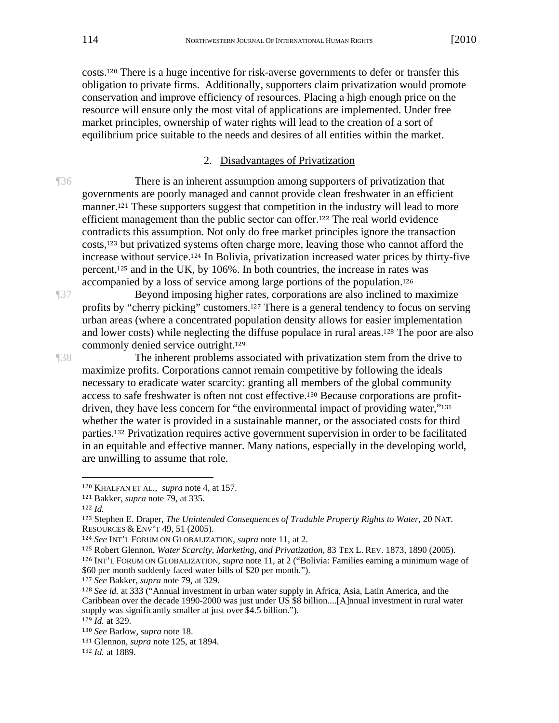costs.120 There is a huge incentive for risk-averse governments to defer or transfer this obligation to private firms. Additionally, supporters claim privatization would promote conservation and improve efficiency of resources. Placing a high enough price on the resource will ensure only the most vital of applications are implemented. Under free market principles, ownership of water rights will lead to the creation of a sort of equilibrium price suitable to the needs and desires of all entities within the market.

2. Disadvantages of Privatization

¶36 There is an inherent assumption among supporters of privatization that governments are poorly managed and cannot provide clean freshwater in an efficient manner.<sup>121</sup> These supporters suggest that competition in the industry will lead to more efficient management than the public sector can offer.122 The real world evidence contradicts this assumption. Not only do free market principles ignore the transaction costs,123 but privatized systems often charge more, leaving those who cannot afford the increase without service.124 In Bolivia, privatization increased water prices by thirty-five percent,125 and in the UK, by 106%. In both countries, the increase in rates was accompanied by a loss of service among large portions of the population.<sup>126</sup>

¶37 Beyond imposing higher rates, corporations are also inclined to maximize profits by "cherry picking" customers.127 There is a general tendency to focus on serving urban areas (where a concentrated population density allows for easier implementation and lower costs) while neglecting the diffuse populace in rural areas.128 The poor are also commonly denied service outright.<sup>129</sup>

¶38 The inherent problems associated with privatization stem from the drive to maximize profits. Corporations cannot remain competitive by following the ideals necessary to eradicate water scarcity: granting all members of the global community access to safe freshwater is often not cost effective.130 Because corporations are profitdriven, they have less concern for "the environmental impact of providing water,"<sup>131</sup> whether the water is provided in a sustainable manner, or the associated costs for third parties.132 Privatization requires active government supervision in order to be facilitated in an equitable and effective manner. Many nations, especially in the developing world, are unwilling to assume that role.

 $\overline{a}$ 

<sup>127</sup> *See* Bakker, *supra* note 79, at 329.

<sup>120</sup> KHALFAN ET AL., *supra* note 4, at 157.

<sup>121</sup> Bakker, *supra* note 79, at 335.

<sup>122</sup> *Id.*

<sup>123</sup> Stephen E. Draper, *The Unintended Consequences of Tradable Property Rights to Water*, 20 NAT. RESOURCES & ENV'T 49, 51 (2005).

<sup>124</sup> *See* INT'L FORUM ON GLOBALIZATION, *supra* note 11, at 2.

<sup>125</sup> Robert Glennon, *Water Scarcity, Marketing, and Privatization*, 83 TEX L. REV. 1873, 1890 (2005). <sup>126</sup> INT'L FORUM ON GLOBALIZATION, *supra* note 11, at 2 ("Bolivia: Families earning a minimum wage of \$60 per month suddenly faced water bills of \$20 per month.").

<sup>128</sup> *See id.* at 333 ("Annual investment in urban water supply in Africa, Asia, Latin America, and the Caribbean over the decade 1990-2000 was just under US \$8 billion....[A]nnual investment in rural water supply was significantly smaller at just over \$4.5 billion.").

<sup>129</sup> *Id.* at 329.

<sup>130</sup> *See* Barlow, *supra* note 18.

<sup>131</sup> Glennon, *supra* note 125, at 1894.

<sup>132</sup> *Id.* at 1889.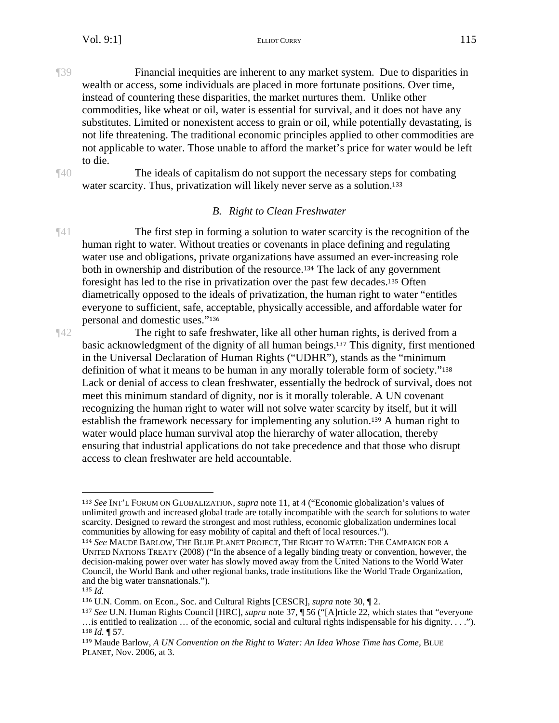¶39 Financial inequities are inherent to any market system. Due to disparities in wealth or access, some individuals are placed in more fortunate positions. Over time, instead of countering these disparities, the market nurtures them. Unlike other commodities, like wheat or oil, water is essential for survival, and it does not have any substitutes. Limited or nonexistent access to grain or oil, while potentially devastating, is not life threatening. The traditional economic principles applied to other commodities are not applicable to water. Those unable to afford the market's price for water would be left to die.

¶40 The ideals of capitalism do not support the necessary steps for combating water scarcity. Thus, privatization will likely never serve as a solution.<sup>133</sup>

#### *B. Right to Clean Freshwater*

¶41 The first step in forming a solution to water scarcity is the recognition of the human right to water. Without treaties or covenants in place defining and regulating water use and obligations, private organizations have assumed an ever-increasing role both in ownership and distribution of the resource.134 The lack of any government foresight has led to the rise in privatization over the past few decades.135 Often diametrically opposed to the ideals of privatization, the human right to water "entitles everyone to sufficient, safe, acceptable, physically accessible, and affordable water for personal and domestic uses."<sup>136</sup>

¶42 The right to safe freshwater, like all other human rights, is derived from a basic acknowledgment of the dignity of all human beings.137 This dignity, first mentioned in the Universal Declaration of Human Rights ("UDHR"), stands as the "minimum definition of what it means to be human in any morally tolerable form of society."<sup>138</sup> Lack or denial of access to clean freshwater, essentially the bedrock of survival, does not meet this minimum standard of dignity, nor is it morally tolerable. A UN covenant recognizing the human right to water will not solve water scarcity by itself, but it will establish the framework necessary for implementing any solution.139 A human right to water would place human survival atop the hierarchy of water allocation, thereby ensuring that industrial applications do not take precedence and that those who disrupt access to clean freshwater are held accountable.

<sup>133</sup> *See* INT'L FORUM ON GLOBALIZATION, *supra* note 11, at 4 ("Economic globalization's values of unlimited growth and increased global trade are totally incompatible with the search for solutions to water scarcity. Designed to reward the strongest and most ruthless, economic globalization undermines local communities by allowing for easy mobility of capital and theft of local resources.").

<sup>134</sup> *See* MAUDE BARLOW, THE BLUE PLANET PROJECT, THE RIGHT TO WATER: THE CAMPAIGN FOR A UNITED NATIONS TREATY (2008) ("In the absence of a legally binding treaty or convention, however, the decision-making power over water has slowly moved away from the United Nations to the World Water Council, the World Bank and other regional banks, trade institutions like the World Trade Organization, and the big water transnationals.").

<sup>135</sup> *Id.*

<sup>136</sup> U.N. Comm. on Econ., Soc. and Cultural Rights [CESCR], *supra* note 30, ¶ 2.

<sup>137</sup> *See* U.N. Human Rights Council [HRC], *supra* note 37, ¶ 56 ("[A]rticle 22, which states that "everyone …is entitled to realization … of the economic, social and cultural rights indispensable for his dignity. . . ."). <sup>138</sup> *Id.* ¶ 57.

<sup>139</sup> Maude Barlow, *A UN Convention on the Right to Water: An Idea Whose Time has Come*, BLUE PLANET, Nov. 2006, at 3.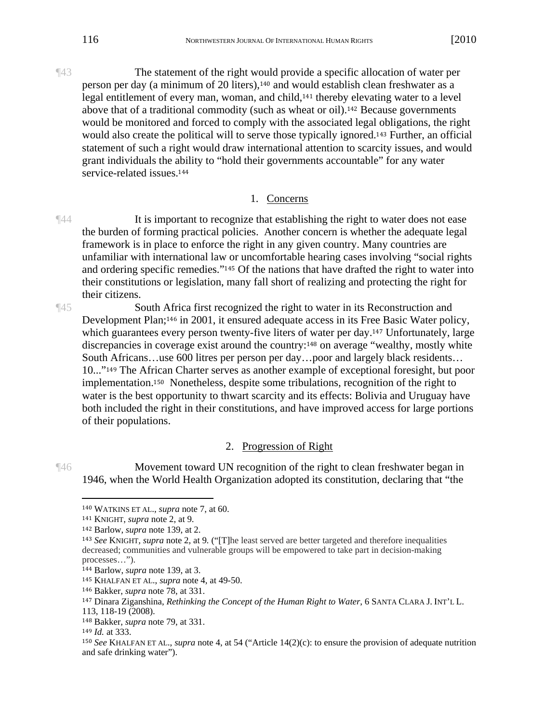¶43 The statement of the right would provide a specific allocation of water per person per day (a minimum of 20 liters),140 and would establish clean freshwater as a legal entitlement of every man, woman, and child,141 thereby elevating water to a level above that of a traditional commodity (such as wheat or oil).142 Because governments would be monitored and forced to comply with the associated legal obligations, the right would also create the political will to serve those typically ignored.143 Further, an official statement of such a right would draw international attention to scarcity issues, and would grant individuals the ability to "hold their governments accountable" for any water service-related issues.<sup>144</sup>

#### 1. Concerns

 $\mathbb{I}^{44}$  It is important to recognize that establishing the right to water does not ease the burden of forming practical policies. Another concern is whether the adequate legal framework is in place to enforce the right in any given country. Many countries are unfamiliar with international law or uncomfortable hearing cases involving "social rights and ordering specific remedies."145 Of the nations that have drafted the right to water into their constitutions or legislation, many fall short of realizing and protecting the right for their citizens.

¶45 South Africa first recognized the right to water in its Reconstruction and Development Plan;146 in 2001, it ensured adequate access in its Free Basic Water policy, which guarantees every person twenty-five liters of water per day.<sup>147</sup> Unfortunately, large discrepancies in coverage exist around the country:<sup>148</sup> on average "wealthy, mostly white South Africans…use 600 litres per person per day…poor and largely black residents… 10..."149 The African Charter serves as another example of exceptional foresight, but poor implementation.150 Nonetheless, despite some tribulations, recognition of the right to water is the best opportunity to thwart scarcity and its effects: Bolivia and Uruguay have both included the right in their constitutions, and have improved access for large portions of their populations.

#### 2. Progression of Right

¶46 Movement toward UN recognition of the right to clean freshwater began in 1946, when the World Health Organization adopted its constitution, declaring that "the

<sup>140</sup> WATKINS ET AL., *supra* note 7, at 60.

<sup>141</sup> KNIGHT, *supra* note 2, at 9.

<sup>142</sup> Barlow, *supra* note 139, at 2.

<sup>143</sup> *See* KNIGHT*, supra* note 2, at 9*.* ("[T]he least served are better targeted and therefore inequalities decreased; communities and vulnerable groups will be empowered to take part in decision-making processes…").

<sup>144</sup> Barlow, *supra* note 139, at 3.

<sup>145</sup> KHALFAN ET AL., *supra* note 4, at 49-50.

<sup>146</sup> Bakker, *supra* note 78, at 331.

<sup>147</sup> Dinara Ziganshina, *Rethinking the Concept of the Human Right to Water*, 6 SANTA CLARA J. INT'L L. 113, 118-19 (2008).

<sup>148</sup> Bakker, *supra* note 79, at 331.

<sup>149</sup> *Id.* at 333.

<sup>150</sup> *See* KHALFAN ET AL., *supra* note 4, at 54 ("Article 14(2)(c): to ensure the provision of adequate nutrition and safe drinking water").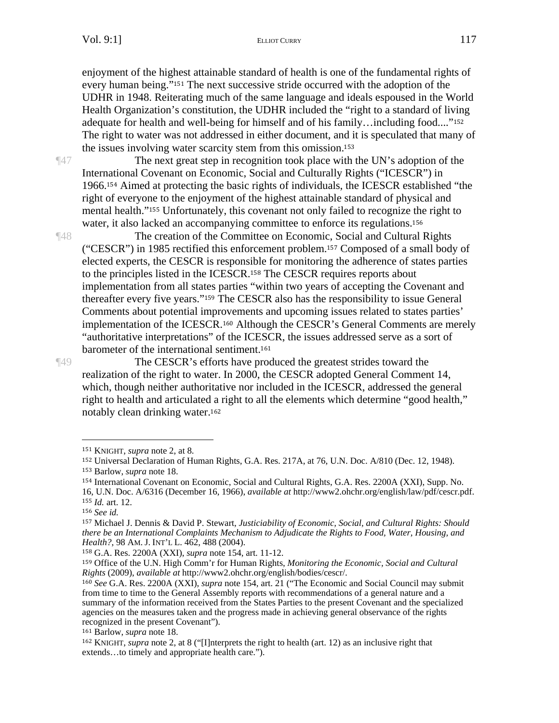enjoyment of the highest attainable standard of health is one of the fundamental rights of every human being."151 The next successive stride occurred with the adoption of the UDHR in 1948. Reiterating much of the same language and ideals espoused in the World Health Organization's constitution, the UDHR included the "right to a standard of living adequate for health and well-being for himself and of his family…including food...."<sup>152</sup> The right to water was not addressed in either document, and it is speculated that many of the issues involving water scarcity stem from this omission.<sup>153</sup>

¶47 The next great step in recognition took place with the UN's adoption of the International Covenant on Economic, Social and Culturally Rights ("ICESCR") in 1966.154 Aimed at protecting the basic rights of individuals, the ICESCR established "the right of everyone to the enjoyment of the highest attainable standard of physical and mental health."155 Unfortunately, this covenant not only failed to recognize the right to water, it also lacked an accompanying committee to enforce its regulations.<sup>156</sup>

¶48 The creation of the Committee on Economic, Social and Cultural Rights ("CESCR") in 1985 rectified this enforcement problem.157 Composed of a small body of elected experts, the CESCR is responsible for monitoring the adherence of states parties to the principles listed in the ICESCR.158 The CESCR requires reports about implementation from all states parties "within two years of accepting the Covenant and thereafter every five years."159 The CESCR also has the responsibility to issue General Comments about potential improvements and upcoming issues related to states parties' implementation of the ICESCR.160 Although the CESCR's General Comments are merely "authoritative interpretations" of the ICESCR, the issues addressed serve as a sort of barometer of the international sentiment.<sup>161</sup>

¶49 The CESCR's efforts have produced the greatest strides toward the realization of the right to water. In 2000, the CESCR adopted General Comment 14, which, though neither authoritative nor included in the ICESCR, addressed the general right to health and articulated a right to all the elements which determine "good health," notably clean drinking water.<sup>162</sup>

1

<sup>158</sup> G.A. Res. 2200A (XXI), *supra* note 154, art. 11-12.

161 Barlow, *supra* note 18.

<sup>151</sup> KNIGHT, *supra* note 2, at 8.

<sup>152</sup> Universal Declaration of Human Rights, G.A. Res. 217A, at 76, U.N. Doc. A/810 (Dec. 12, 1948). <sup>153</sup> Barlow, *supra* note 18.

<sup>154</sup> International Covenant on Economic, Social and Cultural Rights, G.A. Res. 2200A (XXI), Supp. No.

<sup>16,</sup> U.N. Doc. A/6316 (December 16, 1966), *available at* http://www2.ohchr.org/english/law/pdf/cescr.pdf. <sup>155</sup> *Id.* art. 12.

<sup>156</sup> *See id.*

<sup>157</sup> Michael J. Dennis & David P. Stewart, *Justiciability of Economic, Social, and Cultural Rights: Should there be an International Complaints Mechanism to Adjudicate the Rights to Food, Water, Housing, and Health?*, 98 AM. J. INT'L L. 462, 488 (2004).

<sup>159</sup> Office of the U.N. High Comm'r for Human Rights, *Monitoring the Economic, Social and Cultural Rights* (2009), *available at* http://www2.ohchr.org/english/bodies/cescr/.

<sup>160</sup> *See* G.A. Res. 2200A (XXI), *supra* note 154, art. 21 ("The Economic and Social Council may submit from time to time to the General Assembly reports with recommendations of a general nature and a summary of the information received from the States Parties to the present Covenant and the specialized agencies on the measures taken and the progress made in achieving general observance of the rights recognized in the present Covenant").

<sup>162</sup> KNIGHT, *supra* note 2, at 8 ("[I]nterprets the right to health (art. 12) as an inclusive right that extends…to timely and appropriate health care.").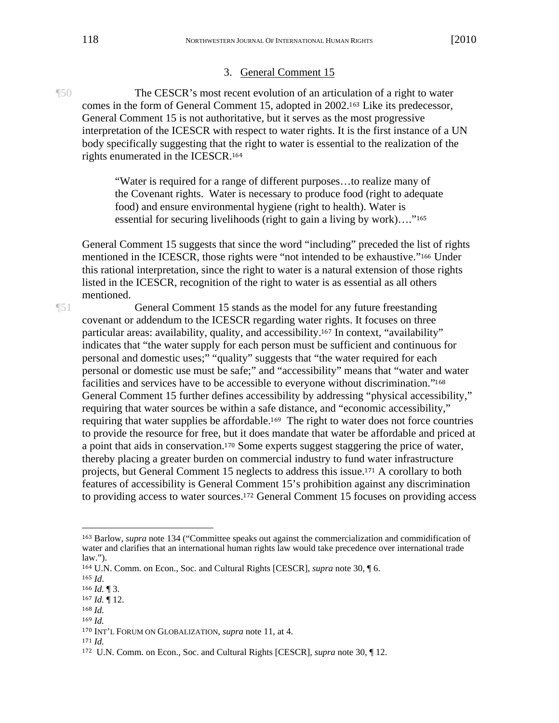#### 3. General Comment 15

¶50 The CESCR's most recent evolution of an articulation of a right to water comes in the form of General Comment 15, adopted in 2002.163 Like its predecessor, General Comment 15 is not authoritative, but it serves as the most progressive interpretation of the ICESCR with respect to water rights. It is the first instance of a UN body specifically suggesting that the right to water is essential to the realization of the rights enumerated in the ICESCR.<sup>164</sup>

> "Water is required for a range of different purposes…to realize many of the Covenant rights. Water is necessary to produce food (right to adequate food) and ensure environmental hygiene (right to health). Water is essential for securing livelihoods (right to gain a living by work)…."<sup>165</sup>

General Comment 15 suggests that since the word "including" preceded the list of rights mentioned in the ICESCR, those rights were "not intended to be exhaustive."166 Under this rational interpretation, since the right to water is a natural extension of those rights listed in the ICESCR, recognition of the right to water is as essential as all others mentioned.

¶51 General Comment 15 stands as the model for any future freestanding covenant or addendum to the ICESCR regarding water rights. It focuses on three particular areas: availability, quality, and accessibility.167 In context, "availability" indicates that "the water supply for each person must be sufficient and continuous for personal and domestic uses;" "quality" suggests that "the water required for each personal or domestic use must be safe;" and "accessibility" means that "water and water facilities and services have to be accessible to everyone without discrimination."<sup>168</sup> General Comment 15 further defines accessibility by addressing "physical accessibility," requiring that water sources be within a safe distance, and "economic accessibility," requiring that water supplies be affordable.169 The right to water does not force countries to provide the resource for free, but it does mandate that water be affordable and priced at a point that aids in conservation.170 Some experts suggest staggering the price of water, thereby placing a greater burden on commercial industry to fund water infrastructure projects, but General Comment 15 neglects to address this issue.171 A corollary to both features of accessibility is General Comment 15's prohibition against any discrimination to providing access to water sources.172 General Comment 15 focuses on providing access

 $\overline{a}$ 

<sup>168</sup> *Id.* <sup>169</sup> *Id.*

<sup>171</sup> *Id.*

<sup>163</sup> Barlow, *supra* note 134 ("Committee speaks out against the commercialization and commidification of water and clarifies that an international human rights law would take precedence over international trade law.").

<sup>164</sup> U.N. Comm. on Econ., Soc. and Cultural Rights [CESCR], *supra* note 30, ¶ 6.

<sup>165</sup> *Id*.

<sup>166</sup> *Id.* ¶ 3.

<sup>167</sup> *Id.* ¶ 12.

<sup>170</sup> INT'L FORUM ON GLOBALIZATION, *supra* note 11, at 4.

<sup>172</sup> U.N. Comm. on Econ., Soc. and Cultural Rights [CESCR], *supra* note 30, ¶ 12.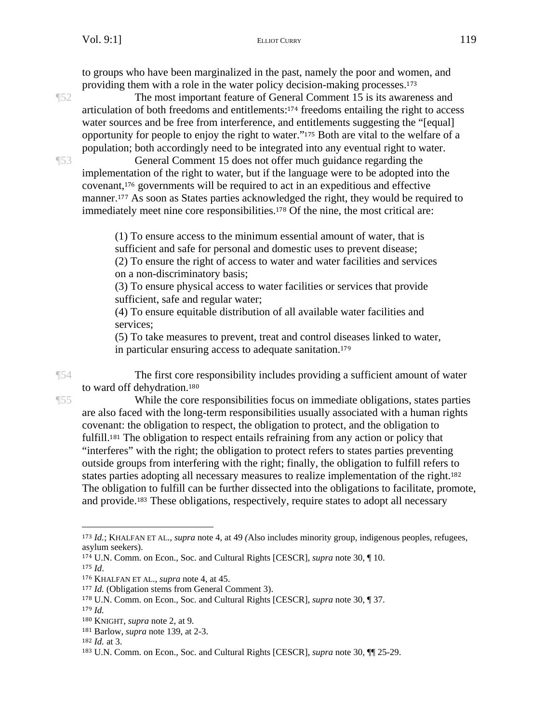to groups who have been marginalized in the past, namely the poor and women, and providing them with a role in the water policy decision-making processes.<sup>173</sup>

¶52 The most important feature of General Comment 15 is its awareness and articulation of both freedoms and entitlements:174 freedoms entailing the right to access water sources and be free from interference, and entitlements suggesting the "[equal] opportunity for people to enjoy the right to water."175 Both are vital to the welfare of a population; both accordingly need to be integrated into any eventual right to water.

¶53 General Comment 15 does not offer much guidance regarding the implementation of the right to water, but if the language were to be adopted into the covenant,176 governments will be required to act in an expeditious and effective manner.177 As soon as States parties acknowledged the right, they would be required to immediately meet nine core responsibilities.178 Of the nine, the most critical are:

> (1) To ensure access to the minimum essential amount of water, that is sufficient and safe for personal and domestic uses to prevent disease; (2) To ensure the right of access to water and water facilities and services

on a non-discriminatory basis;

(3) To ensure physical access to water facilities or services that provide sufficient, safe and regular water;

(4) To ensure equitable distribution of all available water facilities and services;

(5) To take measures to prevent, treat and control diseases linked to water, in particular ensuring access to adequate sanitation.<sup>179</sup>

¶54 The first core responsibility includes providing a sufficient amount of water to ward off dehydration.<sup>180</sup>

¶55 While the core responsibilities focus on immediate obligations, states parties are also faced with the long-term responsibilities usually associated with a human rights covenant: the obligation to respect, the obligation to protect, and the obligation to fulfill.181 The obligation to respect entails refraining from any action or policy that "interferes" with the right; the obligation to protect refers to states parties preventing outside groups from interfering with the right; finally, the obligation to fulfill refers to states parties adopting all necessary measures to realize implementation of the right.<sup>182</sup> The obligation to fulfill can be further dissected into the obligations to facilitate, promote, and provide.183 These obligations, respectively, require states to adopt all necessary

1

<sup>173</sup> *Id.*; KHALFAN ET AL.*, supra* note 4, at 49 *(*Also includes minority group, indigenous peoples, refugees, asylum seekers).

<sup>174</sup> U.N. Comm. on Econ., Soc. and Cultural Rights [CESCR], *supra* note 30, ¶ 10.

<sup>175</sup> *Id*.

<sup>176</sup> KHALFAN ET AL.*, supra* note 4, at 45.

<sup>177</sup> *Id.* (Obligation stems from General Comment 3).

<sup>178</sup> U.N. Comm. on Econ., Soc. and Cultural Rights [CESCR], *supra* note 30, ¶ 37.

<sup>179</sup> *Id.*

<sup>180</sup> KNIGHT, *supra* note 2, at 9.

<sup>181</sup> Barlow, *supra* note 139, at 2-3.

<sup>182</sup> *Id.* at 3.

<sup>183</sup> U.N. Comm. on Econ., Soc. and Cultural Rights [CESCR], *supra* note 30, ¶¶ 25-29.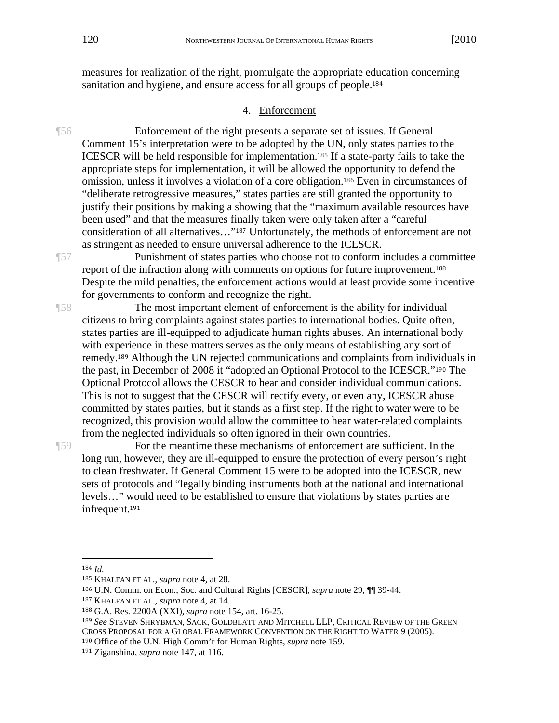measures for realization of the right, promulgate the appropriate education concerning sanitation and hygiene, and ensure access for all groups of people.<sup>184</sup>

#### 4. Enforcement

¶56 Enforcement of the right presents a separate set of issues. If General Comment 15's interpretation were to be adopted by the UN, only states parties to the ICESCR will be held responsible for implementation.185 If a state-party fails to take the appropriate steps for implementation, it will be allowed the opportunity to defend the omission, unless it involves a violation of a core obligation.186 Even in circumstances of "deliberate retrogressive measures," states parties are still granted the opportunity to justify their positions by making a showing that the "maximum available resources have been used" and that the measures finally taken were only taken after a "careful consideration of all alternatives…"187 Unfortunately, the methods of enforcement are not as stringent as needed to ensure universal adherence to the ICESCR.

¶57 Punishment of states parties who choose not to conform includes a committee report of the infraction along with comments on options for future improvement.<sup>188</sup> Despite the mild penalties, the enforcement actions would at least provide some incentive for governments to conform and recognize the right.

¶58 The most important element of enforcement is the ability for individual citizens to bring complaints against states parties to international bodies. Quite often, states parties are ill-equipped to adjudicate human rights abuses. An international body with experience in these matters serves as the only means of establishing any sort of remedy.189 Although the UN rejected communications and complaints from individuals in the past, in December of 2008 it "adopted an Optional Protocol to the ICESCR."190 The Optional Protocol allows the CESCR to hear and consider individual communications. This is not to suggest that the CESCR will rectify every, or even any, ICESCR abuse committed by states parties, but it stands as a first step. If the right to water were to be recognized, this provision would allow the committee to hear water-related complaints from the neglected individuals so often ignored in their own countries.

¶59 For the meantime these mechanisms of enforcement are sufficient. In the long run, however, they are ill-equipped to ensure the protection of every person's right to clean freshwater. If General Comment 15 were to be adopted into the ICESCR, new sets of protocols and "legally binding instruments both at the national and international levels…" would need to be established to ensure that violations by states parties are infrequent.<sup>191</sup>

 $\overline{a}$ 

190 Office of the U.N. High Comm'r for Human Rights, *supra* note 159.

<sup>184</sup> *Id.*

<sup>185</sup> KHALFAN ET AL., *supra* note 4, at 28.

<sup>186</sup> U.N. Comm. on Econ., Soc. and Cultural Rights [CESCR], *supra* note 29, ¶¶ 39-44.

<sup>187</sup> KHALFAN ET AL., *supra* note 4, at 14.

<sup>188</sup> G.A. Res. 2200A (XXI), *supra* note 154, art. 16-25.

<sup>189</sup> *See* STEVEN SHRYBMAN, SACK, GOLDBLATT AND MITCHELL LLP, CRITICAL REVIEW OF THE GREEN CROSS PROPOSAL FOR A GLOBAL FRAMEWORK CONVENTION ON THE RIGHT TO WATER 9 (2005).

<sup>191</sup> Ziganshina, *supra* note 147, at 116.